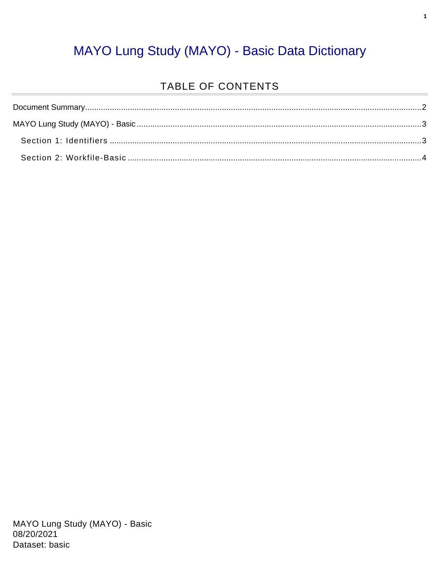#### MAYO Lung Study (MAYO) - Basic Data Dictionary

#### TABLE OF CONTENTS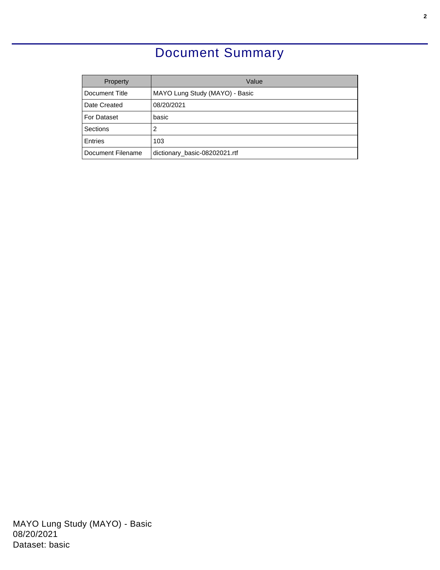### Document Summary

<span id="page-1-0"></span>

| Property          | Value                          |
|-------------------|--------------------------------|
| Document Title    | MAYO Lung Study (MAYO) - Basic |
| Date Created      | 08/20/2021                     |
| For Dataset       | basic                          |
| Sections          | 2                              |
| <b>Entries</b>    | 103                            |
| Document Filename | dictionary_basic-08202021.rtf  |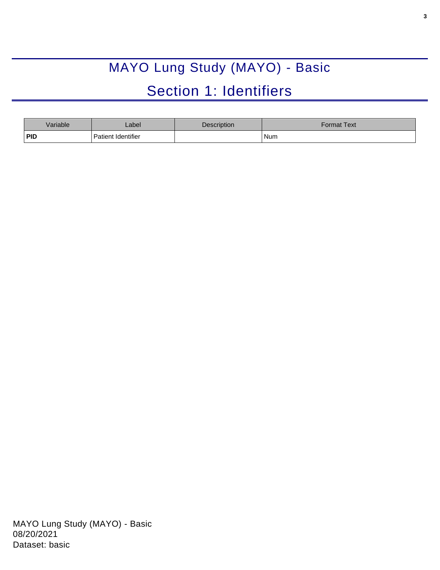# MAYO Lung Study (MAYO) - Basic Section 1: Identifiers

<span id="page-2-1"></span><span id="page-2-0"></span>

| Variable | _abel              | Description | Format Text <sup>l</sup> |
|----------|--------------------|-------------|--------------------------|
| PID      | Patient Identifier |             | Num                      |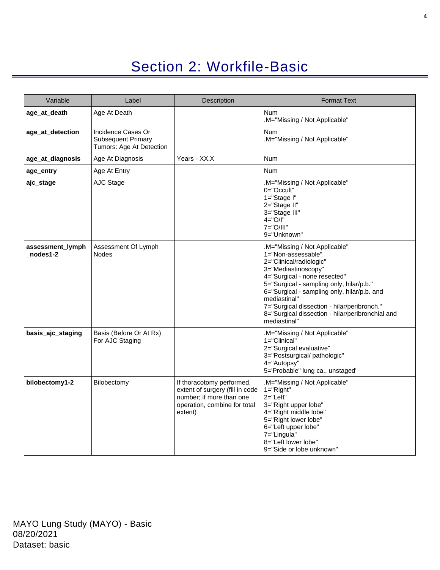## Section 2: Workfile-Basic

<span id="page-3-0"></span>

| Variable                     | Label                                                                | Description                                                                                                                         | <b>Format Text</b>                                                                                                                                                                                                                                                                                                                                                  |
|------------------------------|----------------------------------------------------------------------|-------------------------------------------------------------------------------------------------------------------------------------|---------------------------------------------------------------------------------------------------------------------------------------------------------------------------------------------------------------------------------------------------------------------------------------------------------------------------------------------------------------------|
| age_at_death                 | Age At Death                                                         |                                                                                                                                     | <b>Num</b><br>.M="Missing / Not Applicable"                                                                                                                                                                                                                                                                                                                         |
| age_at_detection             | Incidence Cases Or<br>Subsequent Primary<br>Tumors: Age At Detection |                                                                                                                                     | <b>Num</b><br>.M="Missing / Not Applicable"                                                                                                                                                                                                                                                                                                                         |
| age_at_diagnosis             | Age At Diagnosis                                                     | Years - XX.X                                                                                                                        | <b>Num</b>                                                                                                                                                                                                                                                                                                                                                          |
| age_entry                    | Age At Entry                                                         |                                                                                                                                     | <b>Num</b>                                                                                                                                                                                                                                                                                                                                                          |
| ajc_stage                    | AJC Stage                                                            |                                                                                                                                     | .M="Missing / Not Applicable"<br>$0 = "Occult"$<br>1="Stage I"<br>2="Stage II"<br>3="Stage III"<br>$4 = "O/I"$<br>7="O/III"<br>9="Unknown"                                                                                                                                                                                                                          |
| assessment_lymph<br>nodes1-2 | Assessment Of Lymph<br><b>Nodes</b>                                  |                                                                                                                                     | .M="Missing / Not Applicable"<br>1="Non-assessable"<br>2="Clinical/radiologic"<br>3="Mediastinoscopy"<br>4="Surgical - none resected"<br>5="Surgical - sampling only, hilar/p.b."<br>6="Surgical - sampling only, hilar/p.b. and<br>mediastinal"<br>7="Surgical dissection - hilar/peribronch."<br>8="Surgical dissection - hilar/peribronchial and<br>mediastinal" |
| basis_ajc_staging            | Basis (Before Or At Rx)<br>For AJC Staging                           |                                                                                                                                     | .M="Missing / Not Applicable"<br>1="Clinical"<br>2="Surgical evaluative"<br>3="Postsurgical/pathologic"<br>4="Autopsy"<br>5='Probable" lung ca., unstaged'                                                                                                                                                                                                          |
| bilobectomy1-2               | Bilobectomy                                                          | If thoracotomy performed,<br>extent of surgery (fill in code<br>number; if more than one<br>operation, combine for total<br>extent) | .M="Missing / Not Applicable"<br>1="Right"<br>2="Left"<br>3="Right upper lobe"<br>4="Right middle lobe"<br>5="Right lower lobe"<br>6="Left upper lobe"<br>7="Lingula"<br>8="Left lower lobe"<br>9="Side or lobe unknown"                                                                                                                                            |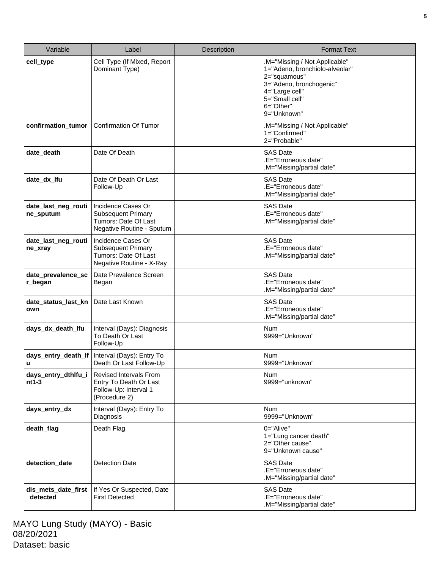| Variable                         | Label                                                                                                | <b>Description</b> | <b>Format Text</b>                                                                                                                                                         |
|----------------------------------|------------------------------------------------------------------------------------------------------|--------------------|----------------------------------------------------------------------------------------------------------------------------------------------------------------------------|
| cell_type                        | Cell Type (If Mixed, Report<br>Dominant Type)                                                        |                    | .M="Missing / Not Applicable"<br>1="Adeno, bronchiolo-alveolar"<br>2="squamous"<br>3="Adeno, bronchogenic"<br>4="Large cell"<br>5="Small cell"<br>6="Other"<br>9="Unknown" |
| confirmation_tumor               | <b>Confirmation Of Tumor</b>                                                                         |                    | .M="Missing / Not Applicable"<br>1="Confirmed"<br>2="Probable"                                                                                                             |
| date_death                       | Date Of Death                                                                                        |                    | <b>SAS Date</b><br>.E="Erroneous date"<br>.M="Missing/partial date"                                                                                                        |
| date_dx_lfu                      | Date Of Death Or Last<br>Follow-Up                                                                   |                    | <b>SAS Date</b><br>.E="Erroneous date"<br>.M="Missing/partial date"                                                                                                        |
| date_last_neg_routi<br>ne_sputum | Incidence Cases Or<br><b>Subsequent Primary</b><br>Tumors: Date Of Last<br>Negative Routine - Sputum |                    | <b>SAS Date</b><br>.E="Erroneous date"<br>.M="Missing/partial date"                                                                                                        |
| date last neg routi<br>ne_xray   | Incidence Cases Or<br><b>Subsequent Primary</b><br>Tumors: Date Of Last<br>Negative Routine - X-Ray  |                    | <b>SAS Date</b><br>.E="Erroneous date"<br>.M="Missing/partial date"                                                                                                        |
| date_prevalence_sc<br>r_began    | Date Prevalence Screen<br>Began                                                                      |                    | <b>SAS Date</b><br>.E="Erroneous date"<br>.M="Missing/partial date"                                                                                                        |
| date_status_last_kn<br>own       | Date Last Known                                                                                      |                    | <b>SAS Date</b><br>.E="Erroneous date"<br>.M="Missing/partial date"                                                                                                        |
| days_dx_death_lfu                | Interval (Days): Diagnosis<br>To Death Or Last<br>Follow-Up                                          |                    | <b>Num</b><br>9999="Unknown"                                                                                                                                               |
| days_entry_death_lf<br>u         | Interval (Days): Entry To<br>Death Or Last Follow-Up                                                 |                    | <b>Num</b><br>9999="Unknown"                                                                                                                                               |
| days_entry_dthlfu_i<br>$nt1-3$   | <b>Revised Intervals From</b><br>Entry To Death Or Last<br>Follow-Up: Interval 1<br>(Procedure 2)    |                    | <b>Num</b><br>9999="unknown"                                                                                                                                               |
| days_entry_dx                    | Interval (Days): Entry To<br>Diagnosis                                                               |                    | <b>Num</b><br>9999="Unknown"                                                                                                                                               |
| death_flag                       | Death Flag                                                                                           |                    | 0="Alive"<br>1="Lung cancer death"<br>2="Other cause"<br>9="Unknown cause"                                                                                                 |
| detection_date                   | <b>Detection Date</b>                                                                                |                    | <b>SAS Date</b><br>.E="Erroneous date"<br>.M="Missing/partial date"                                                                                                        |
| dis_mets_date_first<br>detected  | If Yes Or Suspected, Date<br><b>First Detected</b>                                                   |                    | <b>SAS Date</b><br>.E="Erroneous date"<br>.M="Missing/partial date"                                                                                                        |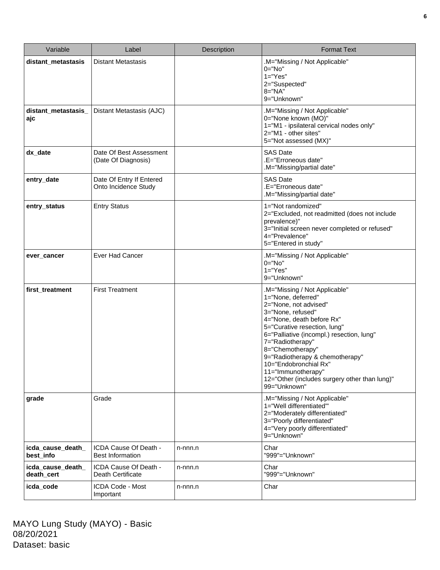| Variable                        | Label                                             | Description | <b>Format Text</b>                                                                                                                                                                                                                                                                                                                                                                                         |
|---------------------------------|---------------------------------------------------|-------------|------------------------------------------------------------------------------------------------------------------------------------------------------------------------------------------------------------------------------------------------------------------------------------------------------------------------------------------------------------------------------------------------------------|
| distant metastasis              | <b>Distant Metastasis</b>                         |             | M="Missing / Not Applicable"<br>$0 = "No"$<br>$1="Yes"$<br>2="Suspected"<br>$8 = "NA"$<br>9="Unknown"                                                                                                                                                                                                                                                                                                      |
| distant_metastasis_<br>ajc      | Distant Metastasis (AJC)                          |             | .M="Missing / Not Applicable"<br>0="None known (MO)"<br>1="M1 - ipsilateral cervical nodes only"<br>2="M1 - other sites"<br>5="Not assessed (MX)"                                                                                                                                                                                                                                                          |
| dx_date                         | Date Of Best Assessment<br>(Date Of Diagnosis)    |             | <b>SAS Date</b><br>.E="Erroneous date"<br>.M="Missing/partial date"                                                                                                                                                                                                                                                                                                                                        |
| entry_date                      | Date Of Entry If Entered<br>Onto Incidence Study  |             | <b>SAS Date</b><br>.E="Erroneous date"<br>M="Missing/partial date"                                                                                                                                                                                                                                                                                                                                         |
| entry_status                    | <b>Entry Status</b>                               |             | 1="Not randomized"<br>2="Excluded, not readmitted (does not include<br>prevalence)"<br>3="Initial screen never completed or refused"<br>4="Prevalence"<br>5="Entered in study"                                                                                                                                                                                                                             |
| ever_cancer                     | Ever Had Cancer                                   |             | .M="Missing / Not Applicable"<br>$0="No"$<br>$1="Yes"$<br>9="Unknown"                                                                                                                                                                                                                                                                                                                                      |
| first_treatment                 | <b>First Treatment</b>                            |             | .M="Missing / Not Applicable"<br>1="None, deferred"<br>2="None, not advised"<br>3="None, refused"<br>4="None, death before Rx"<br>5="Curative resection, lung"<br>6="Palliative (incompl.) resection, lung"<br>7="Radiotherapy"<br>8="Chemotherapy"<br>9="Radiotherapy & chemotherapy"<br>$10 =$ "Endobronchial Rx"<br>11="Immunotherapy"<br>12="Other (includes surgery other than lung)"<br>99="Unknown" |
| grade                           | Grade                                             |             | M="Missing / Not Applicable"<br>1="Well differentiated"<br>2="Moderately differentiated"<br>3="Poorly differentiated"<br>4="Very poorly differentiated"<br>9="Unknown"                                                                                                                                                                                                                                     |
| icda_cause_death_<br>best_info  | ICDA Cause Of Death -<br><b>Best Information</b>  | n-nnn.n     | Char<br>"999"="Unknown"                                                                                                                                                                                                                                                                                                                                                                                    |
| icda_cause_death_<br>death_cert | ICDA Cause Of Death -<br><b>Death Certificate</b> | n-nnn.n     | Char<br>"999"="Unknown"                                                                                                                                                                                                                                                                                                                                                                                    |
| icda_code                       | ICDA Code - Most<br>Important                     | n-nnn.n     | Char                                                                                                                                                                                                                                                                                                                                                                                                       |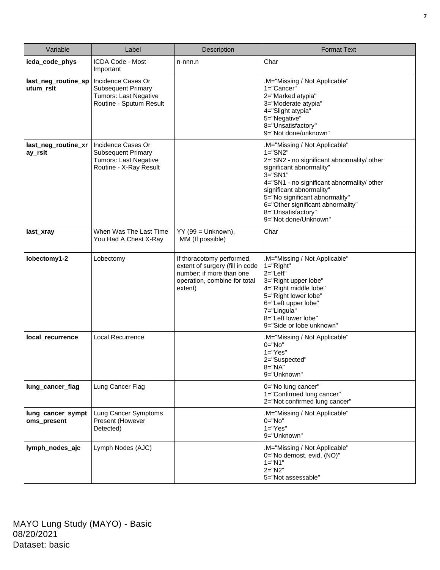| Variable                                    | Label                                                                                                                        | Description                                                                                                                         | <b>Format Text</b>                                                                                                                                                                                                                                                                                                                            |
|---------------------------------------------|------------------------------------------------------------------------------------------------------------------------------|-------------------------------------------------------------------------------------------------------------------------------------|-----------------------------------------------------------------------------------------------------------------------------------------------------------------------------------------------------------------------------------------------------------------------------------------------------------------------------------------------|
| icda_code_phys                              | <b>ICDA Code - Most</b><br>Important                                                                                         | n-nnn.n                                                                                                                             | Char                                                                                                                                                                                                                                                                                                                                          |
| last_neg_routine_sp<br>utum_rslt            | Incidence Cases Or<br><b>Subsequent Primary</b><br>Tumors: Last Negative<br>Routine - Sputum Result                          |                                                                                                                                     | .M="Missing / Not Applicable"<br>1="Cancer"<br>2="Marked atypia"<br>3="Moderate atypia"<br>4="Slight atypia"<br>5="Negative"<br>8="Unsatisfactory"<br>9="Not done/unknown"                                                                                                                                                                    |
| last_neg_routine_xr<br>ay_rslt<br>last_xray | Incidence Cases Or<br><b>Subsequent Primary</b><br>Tumors: Last Negative<br>Routine - X-Ray Result<br>When Was The Last Time | $YY$ (99 = Unknown),                                                                                                                | .M="Missing / Not Applicable"<br>$1 = "SN2"$<br>2="SN2 - no significant abnormality/ other<br>significant abnormality"<br>$3 = "S N1"$<br>4="SN1 - no significant abnormality/ other<br>significant abnormality"<br>5="No significant abnormality"<br>6="Other significant abnormality"<br>8="Unsatisfactory"<br>9="Not done/Unknown"<br>Char |
|                                             | You Had A Chest X-Ray                                                                                                        | MM (If possible)                                                                                                                    |                                                                                                                                                                                                                                                                                                                                               |
| lobectomy1-2                                | Lobectomy                                                                                                                    | If thoracotomy performed,<br>extent of surgery (fill in code<br>number; if more than one<br>operation, combine for total<br>extent) | .M="Missing / Not Applicable"<br>$1 = "Right"$<br>$2 = "Left"$<br>3="Right upper lobe"<br>4="Right middle lobe"<br>5="Right lower lobe"<br>6="Left upper lobe"<br>7="Lingula"<br>8="Left lower lobe"<br>9="Side or lobe unknown"                                                                                                              |
| local_recurrence                            | Local Recurrence                                                                                                             |                                                                                                                                     | M="Missing / Not Applicable"<br>$0 = "No"$<br>$1="Yes"$<br>2="Suspected"<br>8="NA"<br>9="Unknown"                                                                                                                                                                                                                                             |
| lung_cancer_flag                            | Lung Cancer Flag                                                                                                             |                                                                                                                                     | 0="No lung cancer"<br>1="Confirmed lung cancer"<br>2="Not confirmed lung cancer"                                                                                                                                                                                                                                                              |
| lung_cancer_sympt<br>oms_present            | Lung Cancer Symptoms<br>Present (However<br>Detected)                                                                        |                                                                                                                                     | .M="Missing / Not Applicable"<br>$0 = "No"$<br>$1="Yes"$<br>9="Unknown"                                                                                                                                                                                                                                                                       |
| lymph_nodes_ajc                             | Lymph Nodes (AJC)                                                                                                            |                                                                                                                                     | .M="Missing / Not Applicable"<br>0="No demost. evid. (NO)"<br>$1 = "N1"$<br>$2 = "N2"$<br>5="Not assessable"                                                                                                                                                                                                                                  |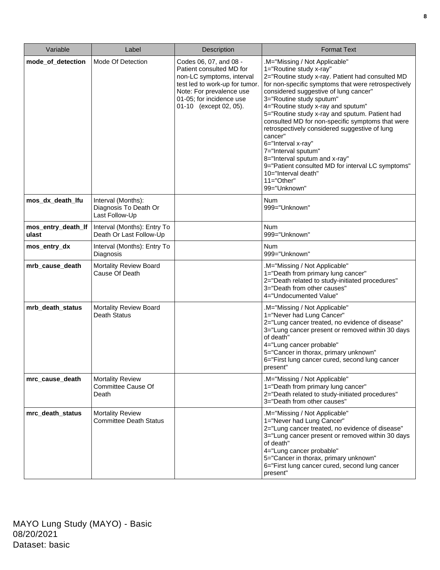| Variable                    | Label                                                         | Description                                                                                                                                                                                         | <b>Format Text</b>                                                                                                                                                                                                                                                                                                                                                                                                                                                                                                                                                                                                                         |
|-----------------------------|---------------------------------------------------------------|-----------------------------------------------------------------------------------------------------------------------------------------------------------------------------------------------------|--------------------------------------------------------------------------------------------------------------------------------------------------------------------------------------------------------------------------------------------------------------------------------------------------------------------------------------------------------------------------------------------------------------------------------------------------------------------------------------------------------------------------------------------------------------------------------------------------------------------------------------------|
| mode_of_detection           | Mode Of Detection                                             | Codes 06, 07, and 08 -<br>Patient consulted MD for<br>non-LC symptoms, interval<br>test led to work-up for tumor.<br>Note: For prevalence use<br>01-05; for incidence use<br>01-10 (except 02, 05). | .M="Missing / Not Applicable"<br>1="Routine study x-ray"<br>2="Routine study x-ray. Patient had consulted MD<br>for non-specific symptoms that were retrospectively<br>considered suggestive of lung cancer"<br>3="Routine study sputum"<br>4="Routine study x-ray and sputum"<br>5="Routine study x-ray and sputum. Patient had<br>consulted MD for non-specific symptoms that were<br>retrospectively considered suggestive of lung<br>cancer"<br>6="Interval x-ray"<br>7="Interval sputum"<br>8="Interval sputum and x-ray"<br>9="Patient consulted MD for interval LC symptoms"<br>10="Interval death"<br>$11="Other"$<br>99="Unknown" |
| mos_dx_death_lfu            | Interval (Months):<br>Diagnosis To Death Or<br>Last Follow-Up |                                                                                                                                                                                                     | <b>Num</b><br>999="Unknown"                                                                                                                                                                                                                                                                                                                                                                                                                                                                                                                                                                                                                |
| mos_entry_death_lf<br>ulast | Interval (Months): Entry To<br>Death Or Last Follow-Up        |                                                                                                                                                                                                     | <b>Num</b><br>999="Unknown"                                                                                                                                                                                                                                                                                                                                                                                                                                                                                                                                                                                                                |
| mos_entry_dx                | Interval (Months): Entry To<br>Diagnosis                      |                                                                                                                                                                                                     | <b>Num</b><br>999="Unknown"                                                                                                                                                                                                                                                                                                                                                                                                                                                                                                                                                                                                                |
| mrb_cause_death             | Mortality Review Board<br>Cause Of Death                      |                                                                                                                                                                                                     | .M="Missing / Not Applicable"<br>1="Death from primary lung cancer"<br>2="Death related to study-initiated procedures"<br>3="Death from other causes"<br>4="Undocumented Value"                                                                                                                                                                                                                                                                                                                                                                                                                                                            |
| mrb_death_status            | Mortality Review Board<br><b>Death Status</b>                 |                                                                                                                                                                                                     | .M="Missing / Not Applicable"<br>1="Never had Lung Cancer"<br>2="Lung cancer treated, no evidence of disease"<br>3="Lung cancer present or removed within 30 days<br>of death"<br>4="Lung cancer probable"<br>5="Cancer in thorax, primary unknown"<br>6="First lung cancer cured, second lung cancer<br>present"                                                                                                                                                                                                                                                                                                                          |
| mrc_cause_death             | <b>Mortality Review</b><br><b>Committee Cause Of</b><br>Death |                                                                                                                                                                                                     | .M="Missing / Not Applicable"<br>1="Death from primary lung cancer"<br>2="Death related to study-initiated procedures"<br>3="Death from other causes"                                                                                                                                                                                                                                                                                                                                                                                                                                                                                      |
| mrc_death_status            | <b>Mortality Review</b><br><b>Committee Death Status</b>      |                                                                                                                                                                                                     | .M="Missing / Not Applicable"<br>1="Never had Lung Cancer"<br>2="Lung cancer treated, no evidence of disease"<br>3="Lung cancer present or removed within 30 days<br>of death"<br>4="Lung cancer probable"<br>5="Cancer in thorax, primary unknown"<br>6="First lung cancer cured, second lung cancer<br>present"                                                                                                                                                                                                                                                                                                                          |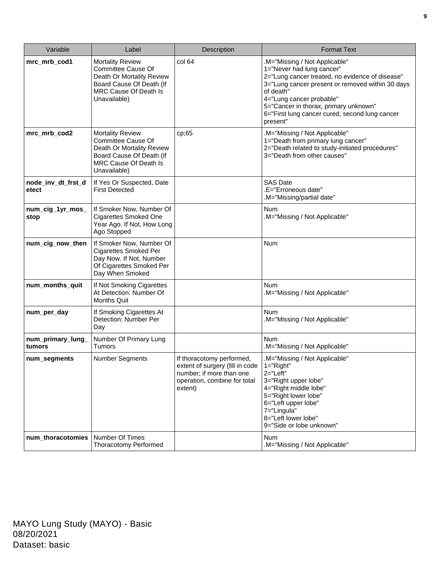| Variable                    | Label                                                                                                                                                         | Description                                                                                                                         | <b>Format Text</b>                                                                                                                                                                                                                                                                                                |
|-----------------------------|---------------------------------------------------------------------------------------------------------------------------------------------------------------|-------------------------------------------------------------------------------------------------------------------------------------|-------------------------------------------------------------------------------------------------------------------------------------------------------------------------------------------------------------------------------------------------------------------------------------------------------------------|
| mrc_mrb_cod1                | <b>Mortality Review</b><br><b>Committee Cause Of</b><br>Death Or Mortality Review<br>Board Cause Of Death (If<br>MRC Cause Of Death Is<br>Unavailable)        | col <sub>64</sub>                                                                                                                   | .M="Missing / Not Applicable"<br>1="Never had lung cancer"<br>2="Lung cancer treated, no evidence of disease"<br>3="Lung cancer present or removed within 30 days<br>of death"<br>4="Lung cancer probable"<br>5="Cancer in thorax, primary unknown"<br>6="First lung cancer cured, second lung cancer<br>present" |
| mrc_mrb_cod2                | <b>Mortality Review</b><br><b>Committee Cause Of</b><br>Death Or Mortality Review<br>Board Cause Of Death (If<br><b>MRC Cause Of Death Is</b><br>Unavailable) | cp;65                                                                                                                               | .M="Missing / Not Applicable"<br>1="Death from primary lung cancer"<br>2="Death related to study-initiated procedures"<br>3="Death from other causes"                                                                                                                                                             |
| node_inv_dt_frst_d<br>etect | If Yes Or Suspected, Date<br><b>First Detected</b>                                                                                                            |                                                                                                                                     | <b>SAS Date</b><br>.E="Erroneous date"<br>.M="Missing/partial date"                                                                                                                                                                                                                                               |
| num_cig_1yr_mos_<br>stop    | If Smoker Now, Number Of<br><b>Cigarettes Smoked One</b><br>Year Ago. If Not, How Long<br>Ago Stopped                                                         |                                                                                                                                     | Num<br>.M="Missing / Not Applicable"                                                                                                                                                                                                                                                                              |
| num_cig_now_then            | If Smoker Now, Number Of<br><b>Cigarettes Smoked Per</b><br>Day Now. If Not, Number<br>Of Cigarettes Smoked Per<br>Day When Smoked                            |                                                                                                                                     | <b>Num</b>                                                                                                                                                                                                                                                                                                        |
| num_months_quit             | If Not Smoking Cigarettes<br>At Detection: Number Of<br><b>Months Quit</b>                                                                                    |                                                                                                                                     | <b>Num</b><br>.M="Missing / Not Applicable"                                                                                                                                                                                                                                                                       |
| num_per_day                 | If Smoking Cigarettes At<br>Detection: Number Per<br>Day                                                                                                      |                                                                                                                                     | <b>Num</b><br>.M="Missing / Not Applicable"                                                                                                                                                                                                                                                                       |
| num_primary_lung_<br>tumors | Number Of Primary Lung<br><b>Tumors</b>                                                                                                                       |                                                                                                                                     | <b>Num</b><br>.M="Missing / Not Applicable"                                                                                                                                                                                                                                                                       |
| num_segments                | <b>Number Segments</b>                                                                                                                                        | If thoracotomy performed,<br>extent of surgery (fill in code<br>number; if more than one<br>operation, combine for total<br>extent) | .M="Missing / Not Applicable"<br>$1 = "Right"$<br>$2 = "Left"$<br>3="Right upper lobe"<br>4="Right middle lobe"<br>5="Right lower lobe"<br>6="Left upper lobe"<br>7="Lingula"<br>8="Left lower lobe"<br>9="Side or lobe unknown"                                                                                  |
| num_thoracotomies           | Number Of Times<br><b>Thoracotomy Performed</b>                                                                                                               |                                                                                                                                     | <b>Num</b><br>.M="Missing / Not Applicable"                                                                                                                                                                                                                                                                       |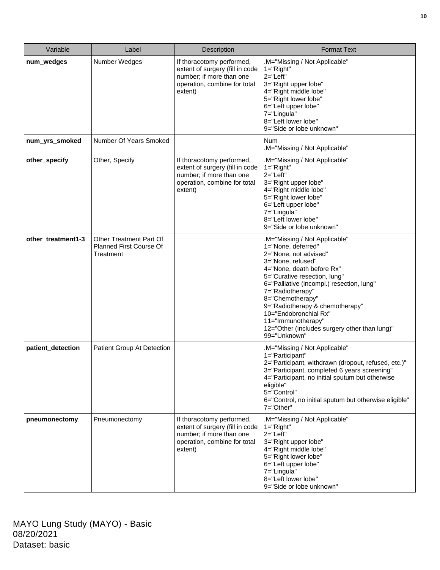| Variable           | Label                                                                         | <b>Description</b>                                                                                                                  | <b>Format Text</b>                                                                                                                                                                                                                                                                                                                                                                                     |
|--------------------|-------------------------------------------------------------------------------|-------------------------------------------------------------------------------------------------------------------------------------|--------------------------------------------------------------------------------------------------------------------------------------------------------------------------------------------------------------------------------------------------------------------------------------------------------------------------------------------------------------------------------------------------------|
| num_wedges         | Number Wedges                                                                 | If thoracotomy performed,<br>extent of surgery (fill in code<br>number; if more than one<br>operation, combine for total<br>extent) | .M="Missing / Not Applicable"<br>$1 = "Right"$<br>$2 = "Left"$<br>3="Right upper lobe"<br>4="Right middle lobe"<br>5="Right lower lobe"<br>6="Left upper lobe"<br>7="Lingula"<br>8="Left lower lobe"<br>9="Side or lobe unknown"                                                                                                                                                                       |
| num_yrs_smoked     | Number Of Years Smoked                                                        |                                                                                                                                     | <b>Num</b><br>.M="Missing / Not Applicable"                                                                                                                                                                                                                                                                                                                                                            |
| other_specify      | Other, Specify                                                                | If thoracotomy performed,<br>extent of surgery (fill in code<br>number; if more than one<br>operation, combine for total<br>extent) | .M="Missing / Not Applicable"<br>$1 = "Right"$<br>$2 = "Left"$<br>3="Right upper lobe"<br>4="Right middle lobe"<br>5="Right lower lobe"<br>6="Left upper lobe"<br>7="Lingula"<br>8="Left lower lobe"<br>9="Side or lobe unknown"                                                                                                                                                                       |
| other_treatment1-3 | <b>Other Treatment Part Of</b><br><b>Planned First Course Of</b><br>Treatment |                                                                                                                                     | .M="Missing / Not Applicable"<br>1="None, deferred"<br>2="None, not advised"<br>3="None, refused"<br>4="None, death before Rx"<br>5="Curative resection, lung"<br>6="Palliative (incompl.) resection, lung"<br>7="Radiotherapy"<br>8="Chemotherapy"<br>9="Radiotherapy & chemotherapy"<br>10="Endobronchial Rx"<br>11="Immunotherapy"<br>12="Other (includes surgery other than lung)"<br>99="Unknown" |
| patient_detection  | Patient Group At Detection                                                    |                                                                                                                                     | .M="Missing / Not Applicable"<br>1="Participant"<br>2="Participant, withdrawn (dropout, refused, etc.)"<br>3="Participant, completed 6 years screening"<br>4="Participant, no initial sputum but otherwise<br>eligible"<br>5="Control"<br>6="Control, no initial sputum but otherwise eligible"<br>7="Other"                                                                                           |
| pneumonectomy      | Pneumonectomy                                                                 | If thoracotomy performed,<br>extent of surgery (fill in code<br>number; if more than one<br>operation, combine for total<br>extent) | M="Missing / Not Applicable"<br>$1 = "Right"$<br>$2 = "Left"$<br>3="Right upper lobe"<br>4="Right middle lobe"<br>5="Right lower lobe"<br>6="Left upper lobe"<br>7="Lingula"<br>8="Left lower lobe"<br>9="Side or lobe unknown"                                                                                                                                                                        |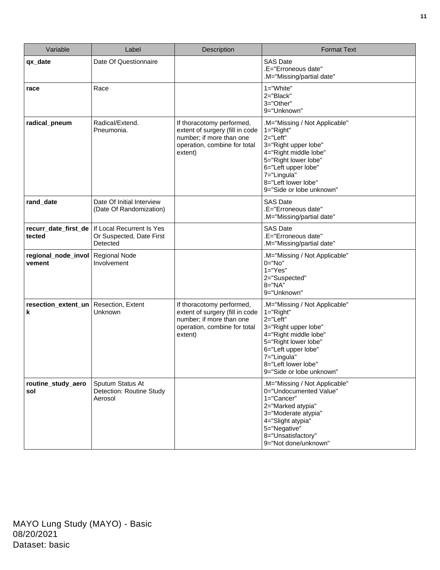| Variable                       | Label                                                             | Description                                                                                                                         | <b>Format Text</b>                                                                                                                                                                                                               |
|--------------------------------|-------------------------------------------------------------------|-------------------------------------------------------------------------------------------------------------------------------------|----------------------------------------------------------------------------------------------------------------------------------------------------------------------------------------------------------------------------------|
| qx_date                        | Date Of Questionnaire                                             |                                                                                                                                     | <b>SAS Date</b><br>.E="Erroneous date"<br>.M="Missing/partial date"                                                                                                                                                              |
| race                           | Race                                                              |                                                                                                                                     | 1="White"<br>2="Black"<br>3="Other"<br>9="Unknown"                                                                                                                                                                               |
| radical_pneum                  | Radical/Extend.<br>Pneumonia.                                     | If thoracotomy performed,<br>extent of surgery (fill in code<br>number; if more than one<br>operation, combine for total<br>extent) | .M="Missing / Not Applicable"<br>$1 = "Right"$<br>2="Left"<br>3="Right upper lobe"<br>4="Right middle lobe"<br>5="Right lower lobe"<br>6="Left upper lobe"<br>7="Lingula"<br>8="Left lower lobe"<br>9="Side or lobe unknown"     |
| rand_date                      | Date Of Initial Interview<br>(Date Of Randomization)              |                                                                                                                                     | <b>SAS Date</b><br>.E="Erroneous date"<br>.M="Missing/partial date"                                                                                                                                                              |
| recurr_date_first_de<br>tected | If Local Recurrent Is Yes<br>Or Suspected, Date First<br>Detected |                                                                                                                                     | <b>SAS Date</b><br>.E="Erroneous date"<br>.M="Missing/partial date"                                                                                                                                                              |
| regional_node_invol<br>vement  | <b>Regional Node</b><br>Involvement                               |                                                                                                                                     | .M="Missing / Not Applicable"<br>$0 = "No"$<br>$1="Yes"$<br>2="Suspected"<br>8="NA"<br>9="Unknown"                                                                                                                               |
| resection_extent_un<br>k       | Resection, Extent<br>Unknown                                      | If thoracotomy performed,<br>extent of surgery (fill in code<br>number; if more than one<br>operation, combine for total<br>extent) | .M="Missing / Not Applicable"<br>$1 = "Right"$<br>$2 = "Left"$<br>3="Right upper lobe"<br>4="Right middle lobe"<br>5="Right lower lobe"<br>6="Left upper lobe"<br>7="Lingula"<br>8="Left lower lobe"<br>9="Side or lobe unknown" |
| routine_study_aero<br>sol      | Sputum Status At<br>Detection: Routine Study<br>Aerosol           |                                                                                                                                     | .M="Missing / Not Applicable"<br>0="Undocumented Value"<br>1="Cancer"<br>2="Marked atypia"<br>3="Moderate atypia"<br>4="Slight atypia"<br>5="Negative"<br>8="Unsatisfactory"<br>9="Not done/unknown"                             |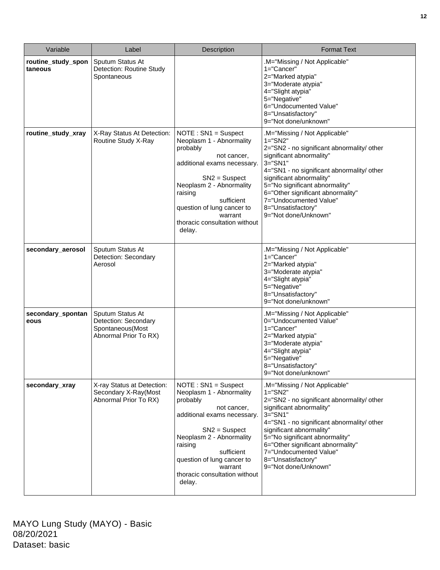| Variable                      | Label                                                                                 | Description                                                                                                                                                                                                                                                              | <b>Format Text</b>                                                                                                                                                                                                                                                                                                                                               |
|-------------------------------|---------------------------------------------------------------------------------------|--------------------------------------------------------------------------------------------------------------------------------------------------------------------------------------------------------------------------------------------------------------------------|------------------------------------------------------------------------------------------------------------------------------------------------------------------------------------------------------------------------------------------------------------------------------------------------------------------------------------------------------------------|
| routine_study_spon<br>taneous | Sputum Status At<br>Detection: Routine Study<br>Spontaneous                           |                                                                                                                                                                                                                                                                          | .M="Missing / Not Applicable"<br>1="Cancer"<br>2="Marked atypia"<br>3="Moderate atypia"<br>4="Slight atypia"<br>5="Negative"<br>6="Undocumented Value"<br>8="Unsatisfactory"<br>9="Not done/unknown"                                                                                                                                                             |
| routine_study_xray            | X-Ray Status At Detection:<br>Routine Study X-Ray                                     | $NOTE : SN1 = Suspect$<br>Neoplasm 1 - Abnormality<br>probably<br>not cancer,<br>additional exams necessary.<br>$SN2 =$ Suspect<br>Neoplasm 2 - Abnormality<br>raising<br>sufficient<br>question of lung cancer to<br>warrant<br>thoracic consultation without<br>delay. | .M="Missing / Not Applicable"<br>$1 = "S N2"$<br>2="SN2 - no significant abnormality/ other<br>significant abnormality"<br>$3 = "S N1"$<br>4="SN1 - no significant abnormality/ other<br>significant abnormality"<br>5="No significant abnormality"<br>6="Other significant abnormality"<br>7="Undocumented Value"<br>8="Unsatisfactory"<br>9="Not done/Unknown" |
| secondary_aerosol             | Sputum Status At<br>Detection: Secondary<br>Aerosol                                   |                                                                                                                                                                                                                                                                          | .M="Missing / Not Applicable"<br>1="Cancer"<br>2="Marked atypia"<br>3="Moderate atypia"<br>4="Slight atypia"<br>5="Negative"<br>8="Unsatisfactory"<br>9="Not done/unknown"                                                                                                                                                                                       |
| secondary_spontan<br>eous     | Sputum Status At<br>Detection: Secondary<br>Spontaneous(Most<br>Abnormal Prior To RX) |                                                                                                                                                                                                                                                                          | M="Missing / Not Applicable"<br>0="Undocumented Value"<br>1="Cancer"<br>2="Marked atypia"<br>3="Moderate atypia"<br>4="Slight atypia"<br>5="Negative"<br>8="Unsatisfactory"<br>9="Not done/unknown"                                                                                                                                                              |
| secondary_xray                | X-ray Status at Detection:<br>Secondary X-Ray(Most<br>Abnormal Prior To RX)           | $NOTE : SN1 = Suspect$<br>Neoplasm 1 - Abnormality<br>probably<br>not cancer.<br>additional exams necessary.<br>$SN2 =$ Suspect<br>Neoplasm 2 - Abnormality<br>raising<br>sufficient<br>question of lung cancer to<br>warrant<br>thoracic consultation without<br>delay. | .M="Missing / Not Applicable"<br>$1 = "SN2"$<br>2="SN2 - no significant abnormality/ other<br>significant abnormality"<br>3="SN1"<br>4="SN1 - no significant abnormality/ other<br>significant abnormality"<br>5="No significant abnormality"<br>6="Other significant abnormality"<br>7="Undocumented Value"<br>8="Unsatisfactory"<br>9="Not done/Unknown"       |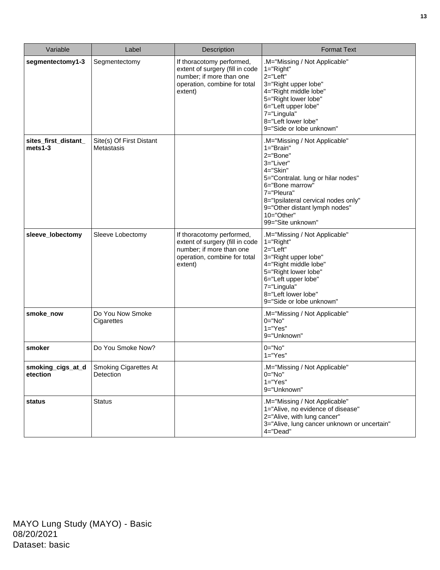| Variable                        | Label                                  | Description                                                                                                                         | <b>Format Text</b>                                                                                                                                                                                                                                                    |
|---------------------------------|----------------------------------------|-------------------------------------------------------------------------------------------------------------------------------------|-----------------------------------------------------------------------------------------------------------------------------------------------------------------------------------------------------------------------------------------------------------------------|
| segmentectomy1-3                | Segmentectomy                          | If thoracotomy performed,<br>extent of surgery (fill in code<br>number; if more than one<br>operation, combine for total<br>extent) | .M="Missing / Not Applicable"<br>$1 = "Right"$<br>$2 = "Left"$<br>3="Right upper lobe"<br>4="Right middle lobe"<br>5="Right lower lobe"<br>6="Left upper lobe"<br>7="Lingula"<br>8="Left lower lobe"<br>9="Side or lobe unknown"                                      |
| sites_first_distant_<br>mets1-3 | Site(s) Of First Distant<br>Metastasis |                                                                                                                                     | .M="Missing / Not Applicable"<br>$1 = "Brain"$<br>2="Bone"<br>3="Liver"<br>4="Skin"<br>5="Contralat. lung or hilar nodes"<br>6="Bone marrow"<br>7="Pleura"<br>8="Ipsilateral cervical nodes only"<br>9="Other distant lymph nodes"<br>10="Other"<br>99="Site unknown" |
| sleeve_lobectomy                | Sleeve Lobectomy                       | If thoracotomy performed,<br>extent of surgery (fill in code<br>number; if more than one<br>operation, combine for total<br>extent) | .M="Missing / Not Applicable"<br>1="Right"<br>2="Left"<br>3="Right upper lobe"<br>4="Right middle lobe"<br>5="Right lower lobe"<br>6="Left upper lobe"<br>7="Lingula"<br>8="Left lower lobe"<br>9="Side or lobe unknown"                                              |
| smoke_now                       | Do You Now Smoke<br>Cigarettes         |                                                                                                                                     | .M="Missing / Not Applicable"<br>$0="No"$<br>$1="Yes"$<br>9="Unknown"                                                                                                                                                                                                 |
| smoker                          | Do You Smoke Now?                      |                                                                                                                                     | $0="No"$<br>$1="Yes"$                                                                                                                                                                                                                                                 |
| smoking_cigs_at_d<br>etection   | Smoking Cigarettes At<br>Detection     |                                                                                                                                     | .M="Missing / Not Applicable"<br>$0 = "No"$<br>$1="Yes"$<br>9="Unknown"                                                                                                                                                                                               |
| status                          | <b>Status</b>                          |                                                                                                                                     | .M="Missing / Not Applicable"<br>1="Alive, no evidence of disease"<br>2="Alive, with lung cancer"<br>3="Alive, lung cancer unknown or uncertain"<br>4="Dead"                                                                                                          |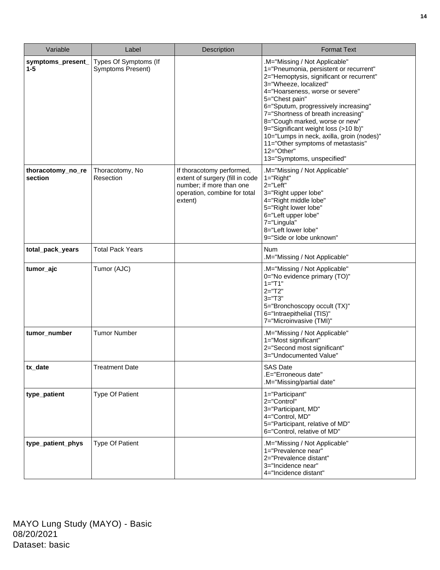| Variable                     | Label                                      | Description                                                                                                                         | <b>Format Text</b>                                                                                                                                                                                                                                                                                                                                                                                                                                                                     |
|------------------------------|--------------------------------------------|-------------------------------------------------------------------------------------------------------------------------------------|----------------------------------------------------------------------------------------------------------------------------------------------------------------------------------------------------------------------------------------------------------------------------------------------------------------------------------------------------------------------------------------------------------------------------------------------------------------------------------------|
| symptoms_present_<br>$1 - 5$ | Types Of Symptoms (If<br>Symptoms Present) |                                                                                                                                     | M="Missing / Not Applicable"<br>1="Pneumonia, persistent or recurrent"<br>2="Hemoptysis, significant or recurrent"<br>3="Wheeze, localized"<br>4="Hoarseness, worse or severe"<br>5="Chest pain"<br>6="Sputum, progressively increasing"<br>7="Shortness of breath increasing"<br>8="Cough marked, worse or new"<br>9="Significant weight loss (>10 lb)"<br>10="Lumps in neck, axilla, groin (nodes)"<br>11="Other symptoms of metastasis"<br>12="Other"<br>13="Symptoms, unspecified" |
| thoracotomy_no_re<br>section | Thoracotomy, No<br>Resection               | If thoracotomy performed,<br>extent of surgery (fill in code<br>number; if more than one<br>operation, combine for total<br>extent) | M="Missing / Not Applicable"<br>$1 = "Right"$<br>$2 = "Left"$<br>3="Right upper lobe"<br>4="Right middle lobe"<br>5="Right lower lobe"<br>6="Left upper lobe"<br>7="Lingula"<br>8="Left lower lobe"<br>9="Side or lobe unknown"                                                                                                                                                                                                                                                        |
| total_pack_years             | <b>Total Pack Years</b>                    |                                                                                                                                     | Num<br>.M="Missing / Not Applicable"                                                                                                                                                                                                                                                                                                                                                                                                                                                   |
| tumor_ajc                    | Tumor (AJC)                                |                                                                                                                                     | .M="Missing / Not Applicable"<br>0="No evidence primary (TO)"<br>$1 = "T1"$<br>$2 = "T2"$<br>$3 = "T3"$<br>5="Bronchoscopy occult (TX)"<br>6="Intraepithelial (TIS)"<br>7="Microinvasive (TMI)"                                                                                                                                                                                                                                                                                        |
| tumor_number                 | <b>Tumor Number</b>                        |                                                                                                                                     | .M="Missing / Not Applicable"<br>1="Most significant"<br>2="Second most significant"<br>3="Undocumented Value"                                                                                                                                                                                                                                                                                                                                                                         |
| tx_date                      | Treatment Date                             |                                                                                                                                     | SAS Date<br>.E="Erroneous date"<br>.M="Missing/partial date"                                                                                                                                                                                                                                                                                                                                                                                                                           |
| type_patient                 | <b>Type Of Patient</b>                     |                                                                                                                                     | 1="Participant"<br>2="Control"<br>3="Participant, MD"<br>4="Control, MD"<br>5="Participant, relative of MD"<br>6="Control, relative of MD"                                                                                                                                                                                                                                                                                                                                             |
| type_patient_phys            | <b>Type Of Patient</b>                     |                                                                                                                                     | .M="Missing / Not Applicable"<br>1="Prevalence near"<br>2="Prevalence distant"<br>3="Incidence near"<br>4="Incidence distant"                                                                                                                                                                                                                                                                                                                                                          |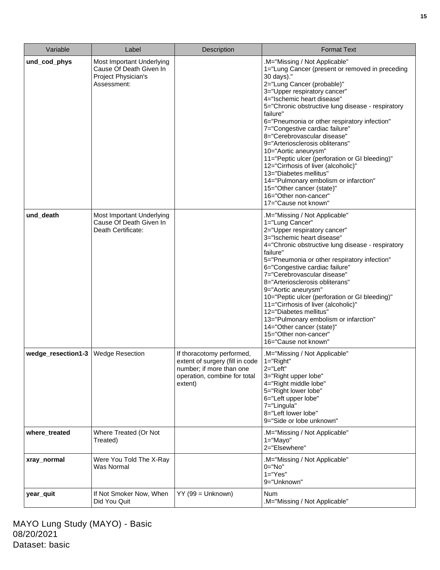| Variable           | Label                                                                                      | <b>Description</b>                                                                                                                  | <b>Format Text</b>                                                                                                                                                                                                                                                                                                                                                                                                                                                                                                                                                                                                                                                                |
|--------------------|--------------------------------------------------------------------------------------------|-------------------------------------------------------------------------------------------------------------------------------------|-----------------------------------------------------------------------------------------------------------------------------------------------------------------------------------------------------------------------------------------------------------------------------------------------------------------------------------------------------------------------------------------------------------------------------------------------------------------------------------------------------------------------------------------------------------------------------------------------------------------------------------------------------------------------------------|
| und_cod_phys       | Most Important Underlying<br>Cause Of Death Given In<br>Project Physician's<br>Assessment: |                                                                                                                                     | .M="Missing / Not Applicable"<br>1="Lung Cancer (present or removed in preceding<br>30 days)."<br>2="Lung Cancer (probable)"<br>3="Upper respiratory cancer"<br>4="Ischemic heart disease"<br>5="Chronic obstructive lung disease - respiratory<br>failure"<br>6="Pneumonia or other respiratory infection"<br>7="Congestive cardiac failure"<br>8="Cerebrovascular disease"<br>9="Arteriosclerosis obliterans"<br>10="Aortic aneurysm"<br>11="Peptic ulcer (perforation or GI bleeding)"<br>12="Cirrhosis of liver (alcoholic)"<br>13="Diabetes mellitus"<br>14="Pulmonary embolism or infarction"<br>15="Other cancer (state)"<br>16="Other non-cancer"<br>17="Cause not known" |
| und_death          | Most Important Underlying<br>Cause Of Death Given In<br>Death Certificate:                 |                                                                                                                                     | .M="Missing / Not Applicable"<br>1="Lung Cancer"<br>2="Upper respiratory cancer"<br>3="Ischemic heart disease"<br>4="Chronic obstructive lung disease - respiratory<br>failure"<br>5="Pneumonia or other respiratory infection"<br>6="Congestive cardiac failure"<br>7="Cerebrovascular disease"<br>8="Arteriosclerosis obliterans"<br>9="Aortic aneurysm"<br>10="Peptic ulcer (perforation or GI bleeding)"<br>11="Cirrhosis of liver (alcoholic)"<br>12="Diabetes mellitus"<br>13="Pulmonary embolism or infarction"<br>14="Other cancer (state)"<br>15="Other non-cancer"<br>16="Cause not known"                                                                              |
| wedge_resection1-3 | <b>Wedge Resection</b>                                                                     | If thoracotomy performed,<br>extent of surgery (fill in code<br>number; if more than one<br>operation, combine for total<br>extent) | M="Missing / Not Applicable"<br>$1 = "Right"$<br>2="Left"<br>3="Right upper lobe"<br>4="Right middle lobe"<br>5="Right lower lobe"<br>6="Left upper lobe"<br>7="Lingula"<br>8="Left lower lobe"<br>9="Side or lobe unknown"                                                                                                                                                                                                                                                                                                                                                                                                                                                       |
| where_treated      | Where Treated (Or Not<br>Treated)                                                          |                                                                                                                                     | .M="Missing / Not Applicable"<br>$1 = "Mayo"$<br>2="Elsewhere"                                                                                                                                                                                                                                                                                                                                                                                                                                                                                                                                                                                                                    |
| xray_normal        | Were You Told The X-Ray<br>Was Normal                                                      |                                                                                                                                     | .M="Missing / Not Applicable"<br>$0 = "No"$<br>$1 = "Yes"$<br>9="Unknown"                                                                                                                                                                                                                                                                                                                                                                                                                                                                                                                                                                                                         |
| year_quit          | If Not Smoker Now, When<br>Did You Quit                                                    | $YY$ (99 = Unknown)                                                                                                                 | <b>Num</b><br>.M="Missing / Not Applicable"                                                                                                                                                                                                                                                                                                                                                                                                                                                                                                                                                                                                                                       |